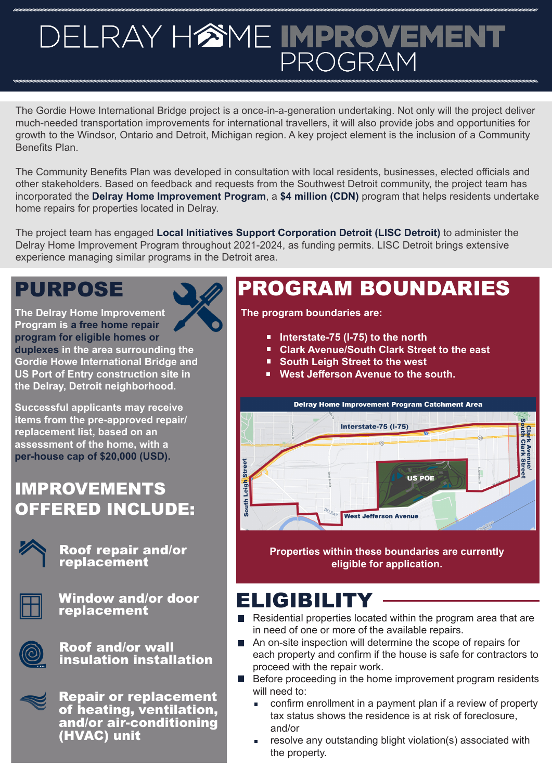# DELRAY HØME IMPROVEMENT

The Gordie Howe International Bridge project is a once-in-a-generation undertaking. Not only will the project deliver much-needed transportation improvements for international travellers, it will also provide jobs and opportunities for growth to the Windsor, Ontario and Detroit, Michigan region. A key project element is the inclusion of a Community Benefits Plan.

The Community Benefits Plan was developed in consultation with local residents, businesses, elected officials and other stakeholders. Based on feedback and requests from the Southwest Detroit community, the project team has incorporated the **Delray Home Improvement Program**, a **\$4 million (CDN)** program that helps residents undertake home repairs for properties located in Delray.

The project team has engaged **Local Initiatives Support Corporation Detroit (LISC Detroit)** to administer the Delray Home Improvement Program throughout 2021-2024, as funding permits. LISC Detroit brings extensive experience managing similar programs in the Detroit area.

**The Delray Home Improvement Program is a free home repair program for eligible homes or duplexes in the area surrounding the Gordie Howe International Bridge and US Port of Entry construction site in the Delray, Detroit neighborhood.**

**Successful applicants may receive items from the pre-approved repair/ replacement list, based on an assessment of the home, with a per-house cap of \$20,000 (USD).** 

#### IMPROVEMENTS OFFERED INCLUDE:



Roof repair and/or replacement



Window and/or door replacement



Roof and/or wall insulation installation



Repair or replacement of heating, ventilation, and/or air-conditioning (HVAC) unit

### PURPOSE **NO. PROGRAM BOUNDARIES**

**The program boundaries are:** 

- Interstate-75 (I-75) to the north
- **Clark Avenue/South Clark Street to the east**
- South Leigh Street to the west
- **West Jefferson Avenue to the south.**



**Properties within these boundaries are currently eligible for application.** 

#### ELIGIBILITY

- Residential properties located within the program area that are in need of one or more of the available repairs.
- An on-site inspection will determine the scope of repairs for each property and confirm if the house is safe for contractors to proceed with the repair work.
- $\blacksquare$  Before proceeding in the home improvement program residents will need to:
	- confirm enrollment in a payment plan if a review of property tax status shows the residence is at risk of foreclosure, and/or
	- resolve any outstanding blight violation(s) associated with the property.